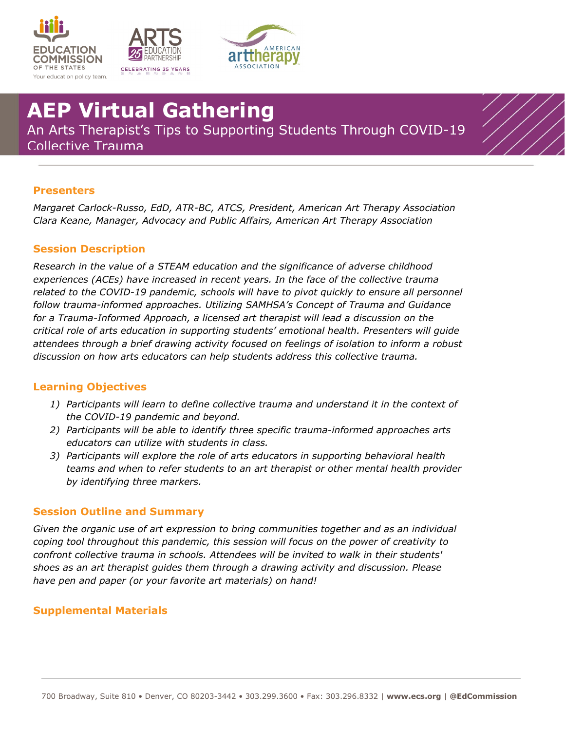





# **AEP Virtual Gathering**

An Arts Therapist's Tips to Supporting Students Through COVID-19 Collective Trauma

## **Presenters**

*Margaret Carlock-Russo, EdD, ATR-BC, ATCS, President, American Art Therapy Association Clara Keane, Manager, Advocacy and Public Affairs, American Art Therapy Association*

### **Session Description**

*Research in the value of a STEAM education and the significance of adverse childhood experiences (ACEs) have increased in recent years. In the face of the collective trauma*  related to the COVID-19 pandemic, schools will have to pivot quickly to ensure all personnel *follow trauma-informed approaches. Utilizing SAMHSA's Concept of Trauma and Guidance for a Trauma-Informed Approach, a licensed art therapist will lead a discussion on the critical role of arts education in supporting students' emotional health. Presenters will guide attendees through a brief drawing activity focused on feelings of isolation to inform a robust discussion on how arts educators can help students address this collective trauma.*

### **Learning Objectives**

- *1) Participants will learn to define collective trauma and understand it in the context of the COVID-19 pandemic and beyond.*
- *2) Participants will be able to identify three specific trauma-informed approaches arts educators can utilize with students in class.*
- *3) Participants will explore the role of arts educators in supporting behavioral health teams and when to refer students to an art therapist or other mental health provider by identifying three markers.*

#### **Session Outline and Summary**

*Given the organic use of art expression to bring communities together and as an individual coping tool throughout this pandemic, this session will focus on the power of creativity to confront collective trauma in schools. Attendees will be invited to walk in their students' shoes as an art therapist guides them through a drawing activity and discussion. Please have pen and paper (or your favorite art materials) on hand!*

### **Supplemental Materials**